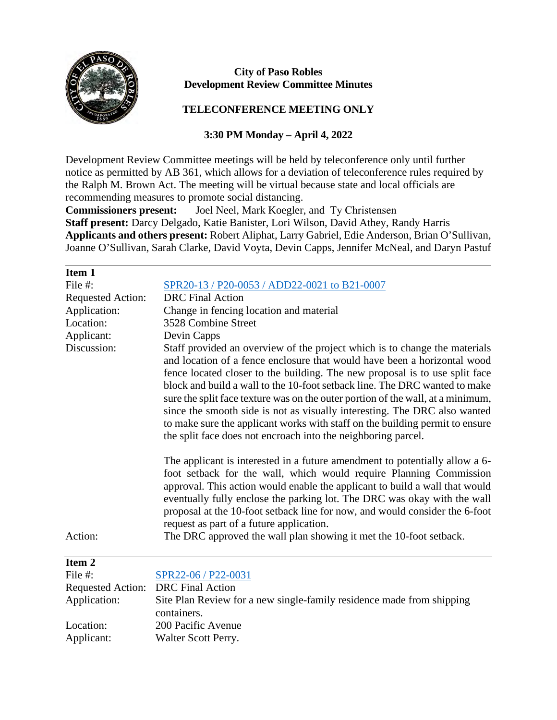

## **City of Paso Robles Development Review Committee Minutes**

## **TELECONFERENCE MEETING ONLY**

## **3:30 PM Monday – April 4, 2022**

Development Review Committee meetings will be held by teleconference only until further notice as permitted by AB 361, which allows for a deviation of teleconference rules required by the Ralph M. Brown Act. The meeting will be virtual because state and local officials are recommending measures to promote social distancing.

**Commissioners present:** Joel Neel, Mark Koegler, and Ty Christensen **Staff present:** Darcy Delgado, Katie Banister, Lori Wilson, David Athey, Randy Harris **Applicants and others present:** Robert Aliphat, Larry Gabriel, Edie Anderson, Brian O'Sullivan, Joanne O'Sullivan, Sarah Clarke, David Voyta, Devin Capps, Jennifer McNeal, and Daryn Pastuf

| Item 1                   |                                                                                                                                                                                                                                                                                                                                                                                                                                                                                                                                                                                                                                      |
|--------------------------|--------------------------------------------------------------------------------------------------------------------------------------------------------------------------------------------------------------------------------------------------------------------------------------------------------------------------------------------------------------------------------------------------------------------------------------------------------------------------------------------------------------------------------------------------------------------------------------------------------------------------------------|
| File #:                  | SPR20-13 / P20-0053 / ADD22-0021 to B21-0007                                                                                                                                                                                                                                                                                                                                                                                                                                                                                                                                                                                         |
| <b>Requested Action:</b> | <b>DRC</b> Final Action                                                                                                                                                                                                                                                                                                                                                                                                                                                                                                                                                                                                              |
| Application:             | Change in fencing location and material                                                                                                                                                                                                                                                                                                                                                                                                                                                                                                                                                                                              |
| Location:                | 3528 Combine Street                                                                                                                                                                                                                                                                                                                                                                                                                                                                                                                                                                                                                  |
| Applicant:               | Devin Capps                                                                                                                                                                                                                                                                                                                                                                                                                                                                                                                                                                                                                          |
| Discussion:              | Staff provided an overview of the project which is to change the materials<br>and location of a fence enclosure that would have been a horizontal wood<br>fence located closer to the building. The new proposal is to use split face<br>block and build a wall to the 10-foot setback line. The DRC wanted to make<br>sure the split face texture was on the outer portion of the wall, at a minimum,<br>since the smooth side is not as visually interesting. The DRC also wanted<br>to make sure the applicant works with staff on the building permit to ensure<br>the split face does not encroach into the neighboring parcel. |
| Action:                  | The applicant is interested in a future amendment to potentially allow a 6-<br>foot setback for the wall, which would require Planning Commission<br>approval. This action would enable the applicant to build a wall that would<br>eventually fully enclose the parking lot. The DRC was okay with the wall<br>proposal at the 10-foot setback line for now, and would consider the 6-foot<br>request as part of a future application.<br>The DRC approved the wall plan showing it met the 10-foot setback.                                                                                                                        |
| Item <sub>2</sub>        |                                                                                                                                                                                                                                                                                                                                                                                                                                                                                                                                                                                                                                      |
| File #:                  | SPR22-06 / P22-0031                                                                                                                                                                                                                                                                                                                                                                                                                                                                                                                                                                                                                  |
| <b>Requested Action:</b> | <b>DRC</b> Final Action                                                                                                                                                                                                                                                                                                                                                                                                                                                                                                                                                                                                              |
| Application:             | Site Plan Review for a new single-family residence made from shipping<br>containers.                                                                                                                                                                                                                                                                                                                                                                                                                                                                                                                                                 |
| Location:                | 200 Pacific Avenue                                                                                                                                                                                                                                                                                                                                                                                                                                                                                                                                                                                                                   |
| Applicant:               | Walter Scott Perry.                                                                                                                                                                                                                                                                                                                                                                                                                                                                                                                                                                                                                  |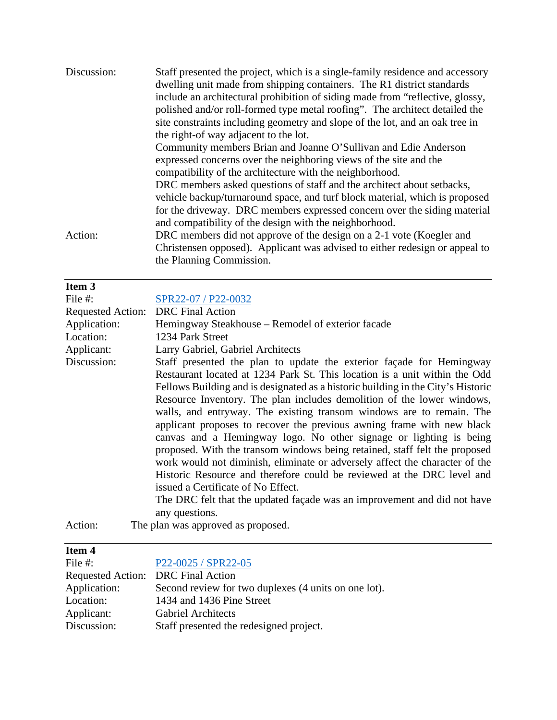| Discussion: | Staff presented the project, which is a single-family residence and accessory<br>dwelling unit made from shipping containers. The R1 district standards |
|-------------|---------------------------------------------------------------------------------------------------------------------------------------------------------|
|             | include an architectural prohibition of siding made from "reflective, glossy,                                                                           |
|             | polished and/or roll-formed type metal roofing". The architect detailed the                                                                             |
|             | site constraints including geometry and slope of the lot, and an oak tree in                                                                            |
|             | the right-of way adjacent to the lot.                                                                                                                   |
|             | Community members Brian and Joanne O'Sullivan and Edie Anderson                                                                                         |
|             | expressed concerns over the neighboring views of the site and the                                                                                       |
|             | compatibility of the architecture with the neighborhood.                                                                                                |
|             | DRC members asked questions of staff and the architect about setbacks,                                                                                  |
|             | vehicle backup/turnaround space, and turf block material, which is proposed                                                                             |
|             | for the driveway. DRC members expressed concern over the siding material                                                                                |
|             | and compatibility of the design with the neighborhood.                                                                                                  |
| Action:     | DRC members did not approve of the design on a 2-1 vote (Koegler and                                                                                    |
|             | Christensen opposed). Applicant was advised to either redesign or appeal to                                                                             |
|             | the Planning Commission.                                                                                                                                |

| Item 3                   |                                                                                                                                                                                                                                                                                                                                                                                                                                                                                                                                                                                                                                                                                                                                                                                                                                                                                                                     |
|--------------------------|---------------------------------------------------------------------------------------------------------------------------------------------------------------------------------------------------------------------------------------------------------------------------------------------------------------------------------------------------------------------------------------------------------------------------------------------------------------------------------------------------------------------------------------------------------------------------------------------------------------------------------------------------------------------------------------------------------------------------------------------------------------------------------------------------------------------------------------------------------------------------------------------------------------------|
| File #:                  | SPR22-07 / P22-0032                                                                                                                                                                                                                                                                                                                                                                                                                                                                                                                                                                                                                                                                                                                                                                                                                                                                                                 |
| <b>Requested Action:</b> | <b>DRC</b> Final Action                                                                                                                                                                                                                                                                                                                                                                                                                                                                                                                                                                                                                                                                                                                                                                                                                                                                                             |
| Application:             | Hemingway Steakhouse – Remodel of exterior facade                                                                                                                                                                                                                                                                                                                                                                                                                                                                                                                                                                                                                                                                                                                                                                                                                                                                   |
| Location:                | 1234 Park Street                                                                                                                                                                                                                                                                                                                                                                                                                                                                                                                                                                                                                                                                                                                                                                                                                                                                                                    |
| Applicant:               | Larry Gabriel, Gabriel Architects                                                                                                                                                                                                                                                                                                                                                                                                                                                                                                                                                                                                                                                                                                                                                                                                                                                                                   |
| Discussion:              | Staff presented the plan to update the exterior façade for Hemingway<br>Restaurant located at 1234 Park St. This location is a unit within the Odd<br>Fellows Building and is designated as a historic building in the City's Historic<br>Resource Inventory. The plan includes demolition of the lower windows,<br>walls, and entryway. The existing transom windows are to remain. The<br>applicant proposes to recover the previous awning frame with new black<br>canvas and a Hemingway logo. No other signage or lighting is being<br>proposed. With the transom windows being retained, staff felt the proposed<br>work would not diminish, eliminate or adversely affect the character of the<br>Historic Resource and therefore could be reviewed at the DRC level and<br>issued a Certificate of No Effect.<br>The DRC felt that the updated façade was an improvement and did not have<br>any questions. |
| Action:                  | The plan was approved as proposed.                                                                                                                                                                                                                                                                                                                                                                                                                                                                                                                                                                                                                                                                                                                                                                                                                                                                                  |
|                          |                                                                                                                                                                                                                                                                                                                                                                                                                                                                                                                                                                                                                                                                                                                                                                                                                                                                                                                     |

| × |  |  |
|---|--|--|
|---|--|--|

| File $#$ :                         | P22-0025 / SPR22-05                                  |
|------------------------------------|------------------------------------------------------|
| Requested Action: DRC Final Action |                                                      |
| Application:                       | Second review for two duplexes (4 units on one lot). |
| Location:                          | 1434 and 1436 Pine Street                            |
| Applicant:                         | <b>Gabriel Architects</b>                            |
| Discussion:                        | Staff presented the redesigned project.              |
|                                    |                                                      |